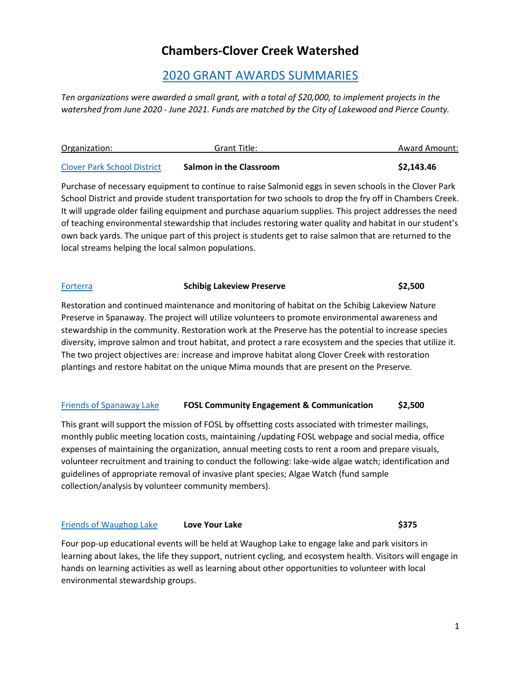# **Chambers-Clover Creek Watershed**

# [2020](http://www.piercecountywa.gov/1872/Small-Grants-Program) GRANT AWARDS SUMMARIES

*Ten organizations were awarded a small grant, with a total of \$20,000, to implement projects in the watershed from June 2020 - June 2021. Funds are matched by the City of Lakewood and Pierce County.*

| Organization:                      | Grant Title:                   | <b>Award Amount:</b> |
|------------------------------------|--------------------------------|----------------------|
| <b>Clover Park School District</b> | <b>Salmon in the Classroom</b> | \$2,143.46           |

Purchase of necessary equipment to continue to raise Salmonid eggs in seven schools in the Clover Park School District and provide student transportation for two schools to drop the fry off in Chambers Creek. It will upgrade older failing equipment and purchase aquarium supplies. This project addresses the need of teaching environmental stewardship that includes restoring water quality and habitat in our student's own back yards. The unique part of this project is students get to raise salmon that are returned to the local streams helping the local salmon populations.

# [Forterra](https://forterra.org/) **Schibig Lakeview Preserve \$2,500**

Restoration and continued maintenance and monitoring of habitat on the Schibig Lakeview Nature Preserve in Spanaway. The project will utilize volunteers to promote environmental awareness and stewardship in the community. Restoration work at the Preserve has the potential to increase species diversity, improve salmon and trout habitat, and protect a rare ecosystem and the species that utilize it. The two project objectives are: increase and improve habitat along Clover Creek with restoration plantings and restore habitat on the unique Mima mounds that are present on the Preserve.

# [Friends of Spanaway Lake](http://www.friendsofspanawaylake.net/) **FOSL Community Engagement & Communication \$2,500**

This grant will support the mission of FOSL by offsetting costs associated with trimester mailings, monthly public meeting location costs, maintaining /updating FOSL webpage and social media, office expenses of maintaining the organization, annual meeting costs to rent a room and prepare visuals, volunteer recruitment and training to conduct the following: lake-wide algae watch; identification and guidelines of appropriate removal of invasive plant species; Algae Watch (fund sample collection/analysis by volunteer community members).

# [Friends of Waughop Lake](https://waughoplake.org/) **Love Your Lake \$375**

Four pop-up educational events will be held at Waughop Lake to engage lake and park visitors in learning about lakes, the life they support, nutrient cycling, and ecosystem health. Visitors will engage in hands on learning activities as well as learning about other opportunities to volunteer with local environmental stewardship groups.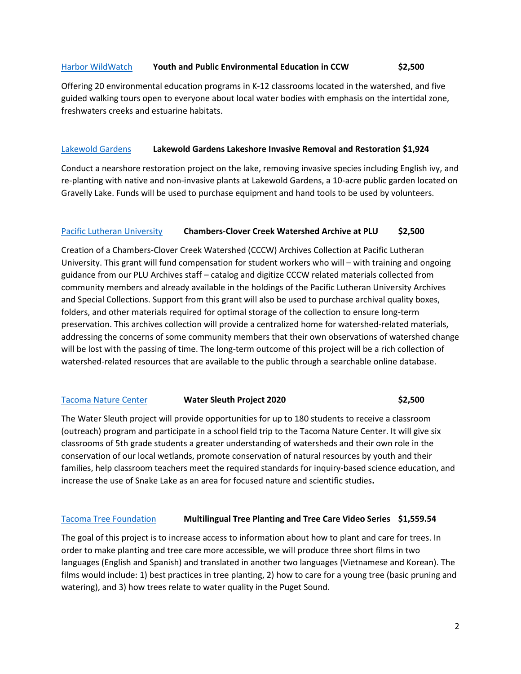### [Harbor WildWatch](http://www.harborwildwatch.org/) **Youth and Public Environmental Education in CCW \$2,500**

Offering 20 environmental education programs in K-12 classrooms located in the watershed, and five guided walking tours open to everyone about local water bodies with emphasis on the intertidal zone, freshwaters creeks and estuarine habitats.

#### [Lakewold Gardens](http://lakewoldgardens.org/) **Lakewold Gardens Lakeshore Invasive Removal and Restoration \$1,924**

Conduct a nearshore restoration project on the lake, removing invasive species including English ivy, and re-planting with native and non-invasive plants at Lakewold Gardens, a 10-acre public garden located on Gravelly Lake. Funds will be used to purchase equipment and hand tools to be used by volunteers.

### [Pacific Lutheran University](https://www.plu.edu/) **Chambers-Clover Creek Watershed Archive at PLU \$2,500**

Creation of a Chambers-Clover Creek Watershed (CCCW) Archives Collection at Pacific Lutheran University. This grant will fund compensation for student workers who will – with training and ongoing guidance from our PLU Archives staff – catalog and digitize CCCW related materials collected from community members and already available in the holdings of the Pacific Lutheran University Archives and Special Collections. Support from this grant will also be used to purchase archival quality boxes, folders, and other materials required for optimal storage of the collection to ensure long-term preservation. This archives collection will provide a centralized home for watershed-related materials, addressing the concerns of some community members that their own observations of watershed change will be lost with the passing of time. The long-term outcome of this project will be a rich collection of watershed-related resources that are available to the public through a searchable online database.

# [Tacoma Nature Center](https://www.metroparkstacoma.org/wp-content/uploads/2019/05/WaterSleuthsTeachersPacket.pdf) **Water Sleuth Project 2020 \$2,500**

The Water Sleuth project will provide opportunities for up to 180 students to receive a classroom (outreach) program and participate in a school field trip to the Tacoma Nature Center. It will give six classrooms of 5th grade students a greater understanding of watersheds and their own role in the conservation of our local wetlands, promote conservation of natural resources by youth and their families, help classroom teachers meet the required standards for inquiry-based science education, and increase the use of Snake Lake as an area for focused nature and scientific studies**.**

#### [Tacoma Tree Foundation](https://www.tacomatreefoundation.org/) **Multilingual Tree Planting and Tree Care Video Series \$1,559.54**

The goal of this project is to increase access to information about how to plant and care for trees. In order to make planting and tree care more accessible, we will produce three short films in two languages (English and Spanish) and translated in another two languages (Vietnamese and Korean). The films would include: 1) best practices in tree planting, 2) how to care for a young tree (basic pruning and watering), and 3) how trees relate to water quality in the Puget Sound.